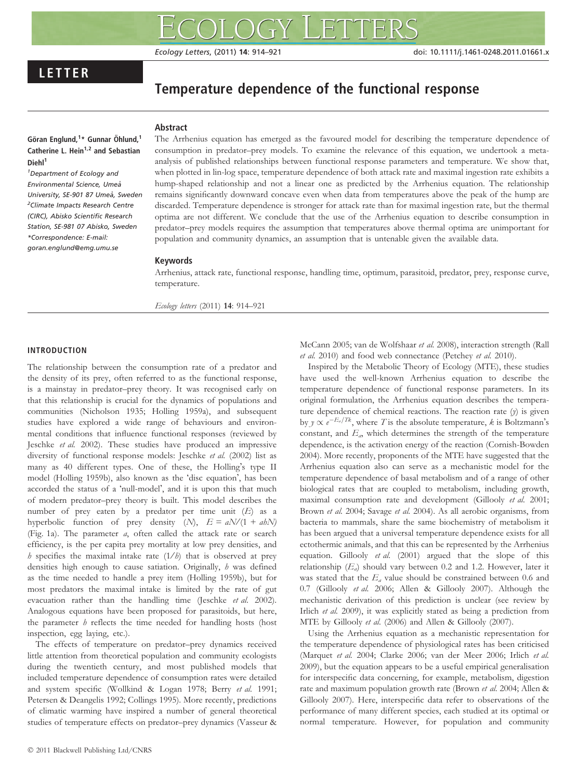Ecology Letters, (2011) 14: 914–921 doi: 10.1111/j.1461-0248.2011.01661.x

# LETTER

# Temperature dependence of the functional response

# Abstract

# Göran Englund,<sup>1</sup>\* Gunnar Öhlund,<sup>1</sup> Catherine L. Hein $1,2$  and Sebastian Diehl<sup>1</sup>

1 Department of Ecology and Environmental Science, Umeå University, SE-901 87 Umeå, Sweden 2 Climate Impacts Research Centre (CIRC), Abisko Scientific Research Station, SE-981 07 Abisko, Sweden \*Correspondence: E-mail: goran.englund@emg.umu.se

The Arrhenius equation has emerged as the favoured model for describing the temperature dependence of consumption in predator–prey models. To examine the relevance of this equation, we undertook a metaanalysis of published relationships between functional response parameters and temperature. We show that, when plotted in lin-log space, temperature dependence of both attack rate and maximal ingestion rate exhibits a hump-shaped relationship and not a linear one as predicted by the Arrhenius equation. The relationship remains significantly downward concave even when data from temperatures above the peak of the hump are discarded. Temperature dependence is stronger for attack rate than for maximal ingestion rate, but the thermal optima are not different. We conclude that the use of the Arrhenius equation to describe consumption in predator–prey models requires the assumption that temperatures above thermal optima are unimportant for population and community dynamics, an assumption that is untenable given the available data.

## Keywords

Arrhenius, attack rate, functional response, handling time, optimum, parasitoid, predator, prey, response curve, temperature.

Ecology letters (2011) 14: 914–921

## INTRODUCTION

The relationship between the consumption rate of a predator and the density of its prey, often referred to as the functional response, is a mainstay in predator–prey theory. It was recognised early on that this relationship is crucial for the dynamics of populations and communities (Nicholson 1935; Holling 1959a), and subsequent studies have explored a wide range of behaviours and environmental conditions that influence functional responses (reviewed by Jeschke et al. 2002). These studies have produced an impressive diversity of functional response models: Jeschke et al. (2002) list as many as 40 different types. One of these, the Holling's type II model (Holling 1959b), also known as the 'disc equation', has been accorded the status of a 'null-model', and it is upon this that much of modern predator–prey theory is built. This model describes the number of prey eaten by a predator per time unit  $(E)$  as a hyperbolic function of prey density  $(N)$ ,  $E = aN/(1 + abN)$ (Fig. 1a). The parameter a, often called the attack rate or search efficiency, is the per capita prey mortality at low prey densities, and h specifies the maximal intake rate  $(1/h)$  that is observed at prey densities high enough to cause satiation. Originally,  $h$  was defined as the time needed to handle a prey item (Holling 1959b), but for most predators the maximal intake is limited by the rate of gut evacuation rather than the handling time (Jeschke et al. 2002). Analogous equations have been proposed for parasitoids, but here, the parameter  $h$  reflects the time needed for handling hosts (host inspection, egg laying, etc.).

The effects of temperature on predator–prey dynamics received little attention from theoretical population and community ecologists during the twentieth century, and most published models that included temperature dependence of consumption rates were detailed and system specific (Wollkind & Logan 1978; Berry et al. 1991; Petersen & Deangelis 1992; Collings 1995). More recently, predictions of climatic warming have inspired a number of general theoretical studies of temperature effects on predator–prey dynamics (Vasseur &

McCann 2005; van de Wolfshaar et al. 2008), interaction strength (Rall et al. 2010) and food web connectance (Petchey et al. 2010).

Inspired by the Metabolic Theory of Ecology (MTE), these studies have used the well-known Arrhenius equation to describe the temperature dependence of functional response parameters. In its original formulation, the Arrhenius equation describes the temperature dependence of chemical reactions. The reaction rate  $(y)$  is given by  $y \propto e^{-E_a/Tk}$ , where T is the absolute temperature, k is Boltzmann's constant, and  $E_a$ , which determines the strength of the temperature dependence, is the activation energy of the reaction (Cornish-Bowden 2004). More recently, proponents of the MTE have suggested that the Arrhenius equation also can serve as a mechanistic model for the temperature dependence of basal metabolism and of a range of other biological rates that are coupled to metabolism, including growth, maximal consumption rate and development (Gillooly et al. 2001; Brown et al. 2004; Savage et al. 2004). As all aerobic organisms, from bacteria to mammals, share the same biochemistry of metabolism it has been argued that a universal temperature dependence exists for all ectothermic animals, and that this can be represented by the Arrhenius equation. Gillooly et al. (2001) argued that the slope of this relationship  $(E_a)$  should vary between 0.2 and 1.2. However, later it was stated that the  $E_a$  value should be constrained between 0.6 and 0.7 (Gillooly et al. 2006; Allen & Gillooly 2007). Although the mechanistic derivation of this prediction is unclear (see review by Irlich et al. 2009), it was explicitly stated as being a prediction from MTE by Gillooly et al. (2006) and Allen & Gillooly (2007).

Using the Arrhenius equation as a mechanistic representation for the temperature dependence of physiological rates has been criticised (Marquet et al. 2004; Clarke 2006; van der Meer 2006; Irlich et al. 2009), but the equation appears to be a useful empirical generalisation for interspecific data concerning, for example, metabolism, digestion rate and maximum population growth rate (Brown et al. 2004; Allen & Gillooly 2007). Here, interspecific data refer to observations of the performance of many different species, each studied at its optimal or normal temperature. However, for population and community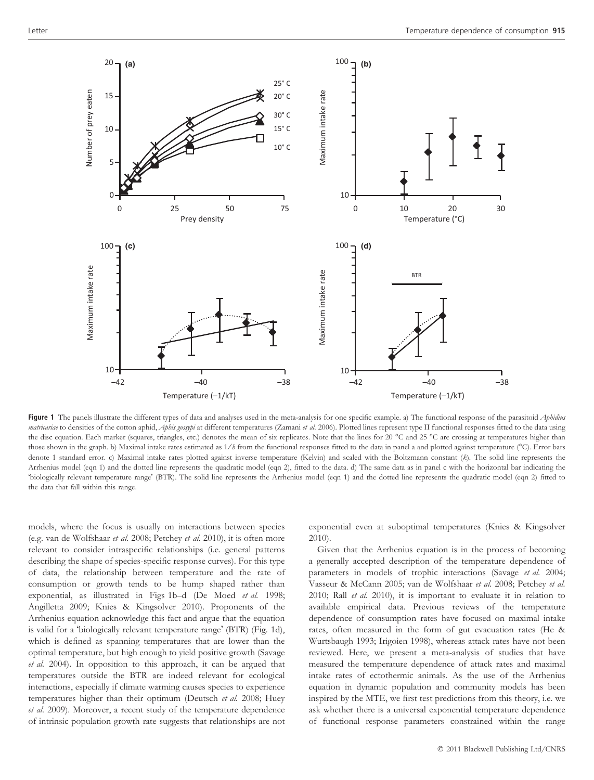

Figure 1 The panels illustrate the different types of data and analyses used in the meta-analysis for one specific example. a) The functional response of the parasitoid Aphidius matricariae to densities of the cotton aphid, Aphis gossypi at different temperatures (Zamani et al. 2006). Plotted lines represent type II functional responses fitted to the data using the disc equation. Each marker (squares, triangles, etc.) denotes the mean of six replicates. Note that the lines for 20 °C and 25 °C are crossing at temperatures higher than those shown in the graph. b) Maximal intake rates estimated as  $1/b$  from the functional responses fitted to the data in panel a and plotted against temperature ( $^{\circ}$ C). Error bars denote 1 standard error. c) Maximal intake rates plotted against inverse temperature (Kelvin) and scaled with the Boltzmann constant (k). The solid line represents the Arrhenius model (eqn 1) and the dotted line represents the quadratic model (eqn 2), fitted to the data. d) The same data as in panel c with the horizontal bar indicating the "biologically relevant temperature range! (BTR). The solid line represents the Arrhenius model (eqn 1) and the dotted line represents the quadratic model (eqn 2) fitted to the data that fall within this range.

models, where the focus is usually on interactions between species (e.g. van de Wolfshaar et al. 2008; Petchey et al. 2010), it is often more relevant to consider intraspecific relationships (i.e. general patterns describing the shape of species-specific response curves). For this type of data, the relationship between temperature and the rate of consumption or growth tends to be hump shaped rather than exponential, as illustrated in Figs 1b-d (De Moed et al. 1998; Angilletta 2009; Knies & Kingsolver 2010). Proponents of the Arrhenius equation acknowledge this fact and argue that the equation is valid for a 'biologically relevant temperature range' (BTR) (Fig. 1d), which is defined as spanning temperatures that are lower than the optimal temperature, but high enough to yield positive growth (Savage et al. 2004). In opposition to this approach, it can be argued that temperatures outside the BTR are indeed relevant for ecological interactions, especially if climate warming causes species to experience temperatures higher than their optimum (Deutsch et al. 2008; Huey et al. 2009). Moreover, a recent study of the temperature dependence of intrinsic population growth rate suggests that relationships are not exponential even at suboptimal temperatures (Knies & Kingsolver 2010).

Given that the Arrhenius equation is in the process of becoming a generally accepted description of the temperature dependence of parameters in models of trophic interactions (Savage et al. 2004; Vasseur & McCann 2005; van de Wolfshaar et al. 2008; Petchey et al. 2010; Rall et al. 2010), it is important to evaluate it in relation to available empirical data. Previous reviews of the temperature dependence of consumption rates have focused on maximal intake rates, often measured in the form of gut evacuation rates (He & Wurtsbaugh 1993; Irigoien 1998), whereas attack rates have not been reviewed. Here, we present a meta-analysis of studies that have measured the temperature dependence of attack rates and maximal intake rates of ectothermic animals. As the use of the Arrhenius equation in dynamic population and community models has been inspired by the MTE, we first test predictions from this theory, i.e. we ask whether there is a universal exponential temperature dependence of functional response parameters constrained within the range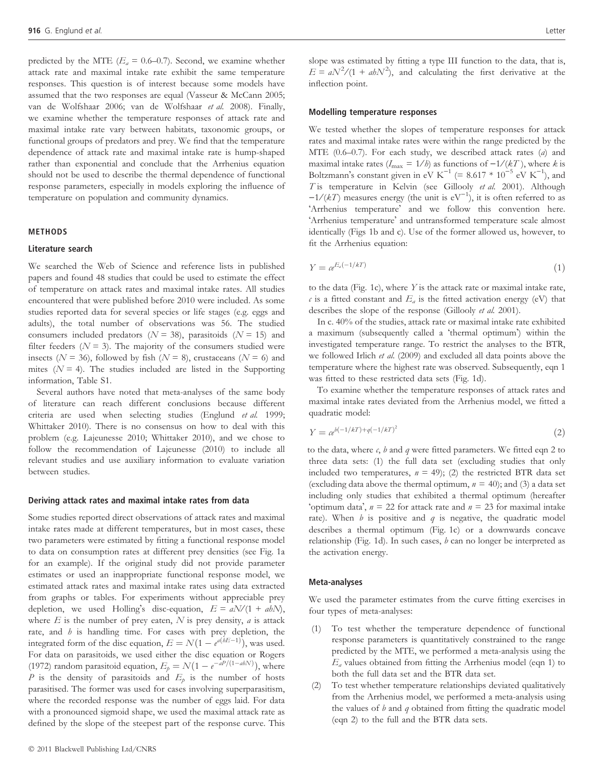predicted by the MTE ( $E_a$  = 0.6–0.7). Second, we examine whether attack rate and maximal intake rate exhibit the same temperature responses. This question is of interest because some models have assumed that the two responses are equal (Vasseur & McCann 2005; van de Wolfshaar 2006; van de Wolfshaar et al. 2008). Finally, we examine whether the temperature responses of attack rate and maximal intake rate vary between habitats, taxonomic groups, or functional groups of predators and prey. We find that the temperature dependence of attack rate and maximal intake rate is hump-shaped rather than exponential and conclude that the Arrhenius equation should not be used to describe the thermal dependence of functional response parameters, especially in models exploring the influence of temperature on population and community dynamics.

## METHODS

## Literature search

We searched the Web of Science and reference lists in published papers and found 48 studies that could be used to estimate the effect of temperature on attack rates and maximal intake rates. All studies encountered that were published before 2010 were included. As some studies reported data for several species or life stages (e.g. eggs and adults), the total number of observations was 56. The studied consumers included predators ( $N = 38$ ), parasitoids ( $N = 15$ ) and filter feeders ( $N = 3$ ). The majority of the consumers studied were insects ( $N = 36$ ), followed by fish ( $N = 8$ ), crustaceans ( $N = 6$ ) and mites ( $N = 4$ ). The studies included are listed in the Supporting information, Table S1.

Several authors have noted that meta-analyses of the same body of literature can reach different conclusions because different criteria are used when selecting studies (Englund et al. 1999; Whittaker 2010). There is no consensus on how to deal with this problem (e.g. Lajeunesse 2010; Whittaker 2010), and we chose to follow the recommendation of Lajeunesse (2010) to include all relevant studies and use auxiliary information to evaluate variation between studies.

#### Deriving attack rates and maximal intake rates from data

Some studies reported direct observations of attack rates and maximal intake rates made at different temperatures, but in most cases, these two parameters were estimated by fitting a functional response model to data on consumption rates at different prey densities (see Fig. 1a for an example). If the original study did not provide parameter estimates or used an inappropriate functional response model, we estimated attack rates and maximal intake rates using data extracted from graphs or tables. For experiments without appreciable prey depletion, we used Holling's disc-equation,  $E = aN/(1 + abN)$ , where  $E$  is the number of prey eaten,  $N$  is prey density,  $a$  is attack rate, and  $h$  is handling time. For cases with prey depletion, the integrated form of the disc equation,  $E = N(1 - e^{a(bE-1)})$ , was used. For data on parasitoids, we used either the disc equation or Rogers (1972) random parasitoid equation,  $E_p = N(1 - e^{-aP/(1 - abN)})$ , where P is the density of parasitoids and  $E_p$  is the number of hosts parasitised. The former was used for cases involving superparasitism, where the recorded response was the number of eggs laid. For data with a pronounced sigmoid shape, we used the maximal attack rate as defined by the slope of the steepest part of the response curve. This

slope was estimated by fitting a type III function to the data, that is,  $E = aN^2/(1 + abN^2)$ , and calculating the first derivative at the inflection point.

#### Modelling temperature responses

We tested whether the slopes of temperature responses for attack rates and maximal intake rates were within the range predicted by the MTE  $(0.6-0.7)$ . For each study, we described attack rates  $(a)$  and maximal intake rates ( $I_{\text{max}} = 1/b$ ) as functions of  $-1 / (kT)$ , where k is Boltzmann's constant given in eV  $K^{-1}$  (= 8.617 \* 10<sup>-5</sup> eV  $K^{-1}$ ), and  $T$  is temperature in Kelvin (see Gillooly et al. 2001). Although  $-1/(kT)$  measures energy (the unit is  $eV^{-1}$ ), it is often referred to as 'Arrhenius temperature' and we follow this convention here. 'Arrhenius temperature' and untransformed temperature scale almost identically (Figs 1b and c). Use of the former allowed us, however, to fit the Arrhenius equation:

$$
Y = c e^{E_a(-1/kT)} \tag{1}
$$

to the data (Fig. 1c), where  $Y$  is the attack rate or maximal intake rate, c is a fitted constant and  $E_a$  is the fitted activation energy (eV) that describes the slope of the response (Gillooly et al. 2001).

In c. 40% of the studies, attack rate or maximal intake rate exhibited a maximum (subsequently called a 'thermal optimum') within the investigated temperature range. To restrict the analyses to the BTR, we followed Irlich et al. (2009) and excluded all data points above the temperature where the highest rate was observed. Subsequently, eqn 1 was fitted to these restricted data sets (Fig. 1d).

To examine whether the temperature responses of attack rates and maximal intake rates deviated from the Arrhenius model, we fitted a quadratic model:

$$
Y = c e^{b(-1/kT) + q(-1/kT)^2}
$$
\n(2)

to the data, where  $c$ ,  $b$  and  $q$  were fitted parameters. We fitted eqn 2 to three data sets: (1) the full data set (excluding studies that only included two temperatures,  $n = 49$ ; (2) the restricted BTR data set (excluding data above the thermal optimum,  $n = 40$ ); and (3) a data set including only studies that exhibited a thermal optimum (hereafter 'optimum data',  $n = 22$  for attack rate and  $n = 23$  for maximal intake rate). When  $b$  is positive and  $q$  is negative, the quadratic model describes a thermal optimum (Fig. 1c) or a downwards concave relationship (Fig. 1d). In such cases,  $b$  can no longer be interpreted as the activation energy.

## Meta-analyses

We used the parameter estimates from the curve fitting exercises in four types of meta-analyses:

- (1) To test whether the temperature dependence of functional response parameters is quantitatively constrained to the range predicted by the MTE, we performed a meta-analysis using the  $E_a$  values obtained from fitting the Arrhenius model (eqn 1) to both the full data set and the BTR data set.
- (2) To test whether temperature relationships deviated qualitatively from the Arrhenius model, we performed a meta-analysis using the values of  $b$  and  $q$  obtained from fitting the quadratic model (eqn 2) to the full and the BTR data sets.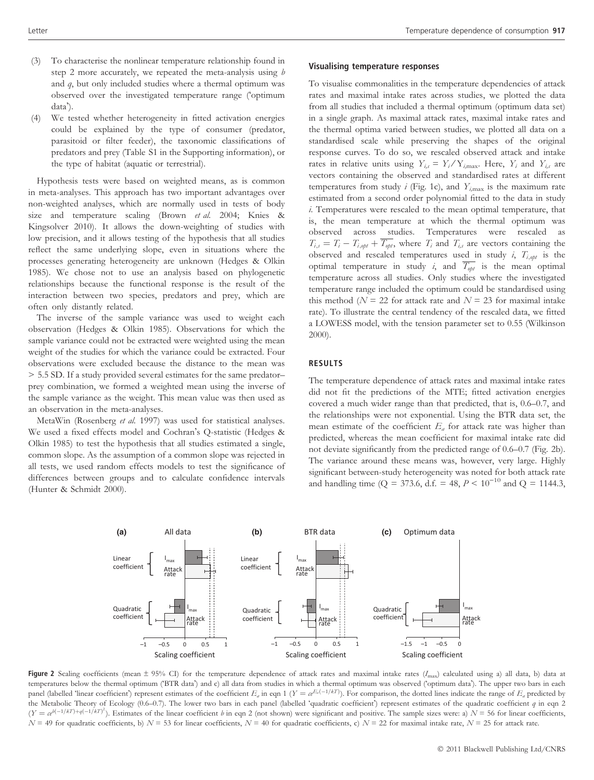- (3) To characterise the nonlinear temperature relationship found in step 2 more accurately, we repeated the meta-analysis using b and q, but only included studies where a thermal optimum was observed over the investigated temperature range ("optimum data').
- (4) We tested whether heterogeneity in fitted activation energies could be explained by the type of consumer (predator, parasitoid or filter feeder), the taxonomic classifications of predators and prey (Table S1 in the Supporting information), or the type of habitat (aquatic or terrestrial).

Hypothesis tests were based on weighted means, as is common in meta-analyses. This approach has two important advantages over non-weighted analyses, which are normally used in tests of body size and temperature scaling (Brown et al. 2004; Knies & Kingsolver 2010). It allows the down-weighting of studies with low precision, and it allows testing of the hypothesis that all studies reflect the same underlying slope, even in situations where the processes generating heterogeneity are unknown (Hedges & Olkin 1985). We chose not to use an analysis based on phylogenetic relationships because the functional response is the result of the interaction between two species, predators and prey, which are often only distantly related.

The inverse of the sample variance was used to weight each observation (Hedges & Olkin 1985). Observations for which the sample variance could not be extracted were weighted using the mean weight of the studies for which the variance could be extracted. Four observations were excluded because the distance to the mean was > 5.5 SD. If a study provided several estimates for the same predator– prey combination, we formed a weighted mean using the inverse of the sample variance as the weight. This mean value was then used as an observation in the meta-analyses.

MetaWin (Rosenberg et al. 1997) was used for statistical analyses. We used a fixed effects model and Cochran's Q-statistic (Hedges & Olkin 1985) to test the hypothesis that all studies estimated a single, common slope. As the assumption of a common slope was rejected in all tests, we used random effects models to test the significance of differences between groups and to calculate confidence intervals (Hunter & Schmidt 2000).

#### Visualising temperature responses

To visualise commonalities in the temperature dependencies of attack rates and maximal intake rates across studies, we plotted the data from all studies that included a thermal optimum (optimum data set) in a single graph. As maximal attack rates, maximal intake rates and the thermal optima varied between studies, we plotted all data on a standardised scale while preserving the shapes of the original response curves. To do so, we rescaled observed attack and intake rates in relative units using  $Y_{i,s} = Y_i/Y_{i,\text{max}}$ . Here,  $Y_i$  and  $Y_{i,s}$  are vectors containing the observed and standardised rates at different temperatures from study i (Fig. 1c), and  $Y_{i max}$  is the maximum rate estimated from a second order polynomial fitted to the data in study  $i$ . Temperatures were rescaled to the mean optimal temperature, that is, the mean temperature at which the thermal optimum was observed across studies. Temperatures were rescaled as  $T_{i,s} = T_i - T_{i, opt} + \overline{T_{opt}}$ , where  $T_i$  and  $T_{i,s}$  are vectors containing the observed and rescaled temperatures used in study  $i$ ,  $T_{i, opt}$  is the optimal temperature in study i, and  $\overline{T_{opt}}$  is the mean optimal temperature across all studies. Only studies where the investigated temperature range included the optimum could be standardised using this method ( $N = 22$  for attack rate and  $N = 23$  for maximal intake rate). To illustrate the central tendency of the rescaled data, we fitted a LOWESS model, with the tension parameter set to 0.55 (Wilkinson 2000).

## RESULTS

The temperature dependence of attack rates and maximal intake rates did not fit the predictions of the MTE; fitted activation energies covered a much wider range than that predicted, that is, 0.6–0.7, and the relationships were not exponential. Using the BTR data set, the mean estimate of the coefficient  $E_a$  for attack rate was higher than predicted, whereas the mean coefficient for maximal intake rate did not deviate significantly from the predicted range of 0.6–0.7 (Fig. 2b). The variance around these means was, however, very large. Highly significant between-study heterogeneity was noted for both attack rate and handling time (Q = 373.6, d.f. = 48,  $P < 10^{-10}$  and Q = 1144.3,



Figure 2 Scaling coefficients (mean  $\pm$  95% CI) for the temperature dependence of attack rates and maximal intake rates ( $I_{\text{max}}$ ) calculated using a) all data, b) data at temperatures below the thermal optimum ("BTR data") and c) all data from studies in which a thermal optimum was observed ("optimum data"). The upper two bars in each panel (labelled 'linear coefficient') represent estimates of the coefficient  $E_a$  in eqn 1 ( $Y = e^{E_a(-1/kT)}$ ). For comparison, the dotted lines indicate the range of  $E_a$  predicted by the Metabolic Theory of Ecology (0.6–0.7). The lower two bars in each panel (labelled 'quadratic coefficient') represent estimates of the quadratic coefficient q in eqn 2  $(Y = e^{b(-1/kT) + q(-1/kT)^2})$ . Estimates of the linear coefficient b in eqn 2 (not shown) were significant and positive. The sample sizes were: a)  $N = 56$  for linear coefficients,  $N = 49$  for quadratic coefficients, b)  $N = 53$  for linear coefficients,  $N = 40$  for quadratic coefficients, c)  $N = 22$  for maximal intake rate,  $N = 25$  for attack rate.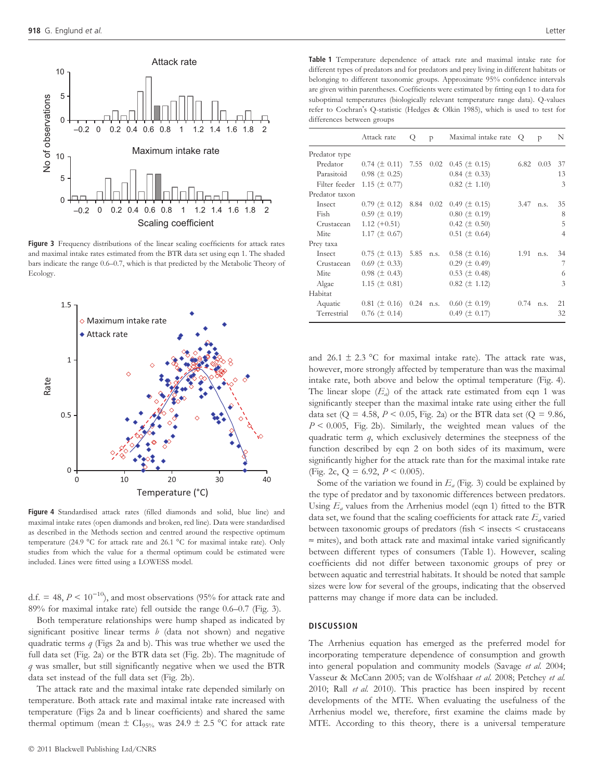

Figure 3 Frequency distributions of the linear scaling coefficients for attack rates and maximal intake rates estimated from the BTR data set using eqn 1. The shaded bars indicate the range 0.6–0.7, which is that predicted by the Metabolic Theory of Ecology.



Figure 4 Standardised attack rates (filled diamonds and solid, blue line) and maximal intake rates (open diamonds and broken, red line). Data were standardised as described in the Methods section and centred around the respective optimum temperature (24.9 "C for attack rate and 26.1 "C for maximal intake rate). Only studies from which the value for a thermal optimum could be estimated were included. Lines were fitted using a LOWESS model.

d.f. = 48,  $P < 10^{-10}$ ), and most observations (95% for attack rate and 89% for maximal intake rate) fell outside the range 0.6–0.7 (Fig. 3).

Both temperature relationships were hump shaped as indicated by significant positive linear terms  $b$  (data not shown) and negative quadratic terms  $q$  (Figs 2a and b). This was true whether we used the full data set (Fig. 2a) or the BTR data set (Fig. 2b). The magnitude of q was smaller, but still significantly negative when we used the BTR data set instead of the full data set (Fig. 2b).

The attack rate and the maximal intake rate depended similarly on temperature. Both attack rate and maximal intake rate increased with temperature (Figs 2a and b linear coefficients) and shared the same thermal optimum (mean  $\pm$  CI<sub>95%</sub> was 24.9  $\pm$  2.5 °C for attack rate

Table 1 Temperature dependence of attack rate and maximal intake rate for different types of predators and for predators and prey living in different habitats or belonging to different taxonomic groups. Approximate 95% confidence intervals are given within parentheses. Coefficients were estimated by fitting eqn 1 to data for suboptimal temperatures (biologically relevant temperature range data). Q-values refer to Cochran's Q-statistic (Hedges & Olkin 1985), which is used to test for differences between groups

|                | Attack rate                               | Q | p | Maximal intake rate Q |             | p    | N              |
|----------------|-------------------------------------------|---|---|-----------------------|-------------|------|----------------|
| Predator type  |                                           |   |   |                       |             |      |                |
|                | Predator $0.74 \ (\pm 0.11)$ 7.55 0.02    |   |   | $0.45 \ (\pm 0.15)$   | 6.82        | 0.03 | 37             |
|                | Parasitoid $0.98 \ (\pm 0.25)$            |   |   | $0.84 \ (\pm 0.33)$   |             |      | 13             |
| Filter feeder  | 1.15 $(\pm 0.77)$                         |   |   | $0.82 \ (\pm 1.10)$   |             |      | 3              |
| Predator taxon |                                           |   |   |                       |             |      |                |
| Insect         | $0.79 \ (\pm 0.12) \quad 8.84 \quad 0.02$ |   |   | $0.49 \ (\pm 0.15)$   | $3.47$ n.s. |      | 35             |
| Fish           | $0.59 \ (\pm 0.19)$                       |   |   | $0.80 \ (\pm 0.19)$   |             |      | 8              |
| Crustacean     | $1.12 (+0.51)$                            |   |   | $0.42 \ (\pm 0.50)$   |             |      | 5              |
| <b>Mite</b>    | 1.17 ( $\pm$ 0.67)                        |   |   | $0.51 (\pm 0.64)$     |             |      | $\overline{4}$ |
| Prey taxa      |                                           |   |   |                       |             |      |                |
| Insect         | $0.75 \ (\pm 0.13)$ 5.85 n.s.             |   |   | $0.58 \ (\pm 0.16)$   | $1.91$ n.s. |      | 34             |
| Crustacean     | $0.69 \ (\pm 0.33)$                       |   |   | $0.29 \ (\pm 0.49)$   |             |      | 7              |
| <b>Mite</b>    | $0.98 (\pm 0.43)$                         |   |   | $0.53 \ (\pm 0.48)$   |             |      | 6              |
| Algae          | 1.15 $(\pm 0.81)$                         |   |   | $0.82~(\pm 1.12)$     |             |      | 3              |
| Habitat        |                                           |   |   |                       |             |      |                |
| Aquatic        | $0.81 \ (\pm 0.16) \quad 0.24 \quad n.s.$ |   |   | $0.60 \ (\pm 0.19)$   | $0.74$ n.s. |      | 21             |
| Terrestrial    | $0.76 \ (\pm 0.14)$                       |   |   | $0.49 \ (\pm 0.17)$   |             |      | 32             |

and 26.1  $\pm$  2.3 °C for maximal intake rate). The attack rate was, however, more strongly affected by temperature than was the maximal intake rate, both above and below the optimal temperature (Fig. 4). The linear slope  $(E_a)$  of the attack rate estimated from eqn 1 was significantly steeper than the maximal intake rate using either the full data set ( $Q = 4.58$ ,  $P < 0.05$ , Fig. 2a) or the BTR data set ( $Q = 9.86$ ,  $P \le 0.005$ , Fig. 2b). Similarly, the weighted mean values of the quadratic term  $q$ , which exclusively determines the steepness of the function described by eqn 2 on both sides of its maximum, were significantly higher for the attack rate than for the maximal intake rate (Fig. 2c, Q = 6.92,  $P < 0.005$ ).

Some of the variation we found in  $E_a$  (Fig. 3) could be explained by the type of predator and by taxonomic differences between predators. Using  $E_a$  values from the Arrhenius model (eqn 1) fitted to the BTR data set, we found that the scaling coefficients for attack rate  $E_a$  varied between taxonomic groups of predators (fish < insects < crustaceans  $\approx$  mites), and both attack rate and maximal intake varied significantly between different types of consumers (Table 1). However, scaling coefficients did not differ between taxonomic groups of prey or between aquatic and terrestrial habitats. It should be noted that sample sizes were low for several of the groups, indicating that the observed patterns may change if more data can be included.

### **DISCUSSION**

The Arrhenius equation has emerged as the preferred model for incorporating temperature dependence of consumption and growth into general population and community models (Savage et al. 2004; Vasseur & McCann 2005; van de Wolfshaar et al. 2008; Petchey et al. 2010; Rall et al. 2010). This practice has been inspired by recent developments of the MTE. When evaluating the usefulness of the Arrhenius model we, therefore, first examine the claims made by MTE. According to this theory, there is a universal temperature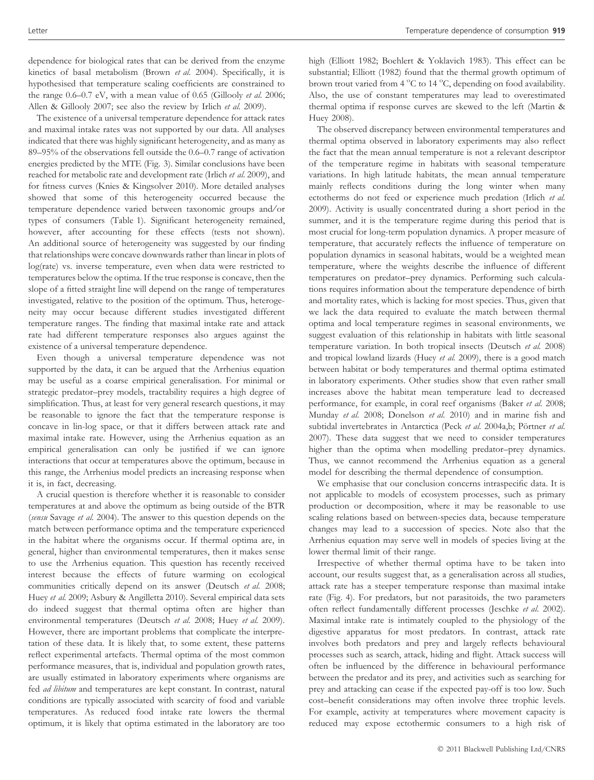dependence for biological rates that can be derived from the enzyme kinetics of basal metabolism (Brown et al. 2004). Specifically, it is hypothesised that temperature scaling coefficients are constrained to the range  $0.6-0.7$  eV, with a mean value of  $0.65$  (Gillooly et al. 2006; Allen & Gillooly 2007; see also the review by Irlich et al. 2009).

The existence of a universal temperature dependence for attack rates and maximal intake rates was not supported by our data. All analyses indicated that there was highly significant heterogeneity, and as many as 89–95% of the observations fell outside the 0.6–0.7 range of activation energies predicted by the MTE (Fig. 3). Similar conclusions have been reached for metabolic rate and development rate (Irlich et al. 2009), and for fitness curves (Knies & Kingsolver 2010). More detailed analyses showed that some of this heterogeneity occurred because the temperature dependence varied between taxonomic groups and/or types of consumers (Table 1). Significant heterogeneity remained, however, after accounting for these effects (tests not shown). An additional source of heterogeneity was suggested by our finding that relationships were concave downwards rather than linear in plots of log(rate) vs. inverse temperature, even when data were restricted to temperatures below the optima. If the true response is concave, then the slope of a fitted straight line will depend on the range of temperatures investigated, relative to the position of the optimum. Thus, heterogeneity may occur because different studies investigated different temperature ranges. The finding that maximal intake rate and attack rate had different temperature responses also argues against the existence of a universal temperature dependence.

Even though a universal temperature dependence was not supported by the data, it can be argued that the Arrhenius equation may be useful as a coarse empirical generalisation. For minimal or strategic predator–prey models, tractability requires a high degree of simplification. Thus, at least for very general research questions, it may be reasonable to ignore the fact that the temperature response is concave in lin-log space, or that it differs between attack rate and maximal intake rate. However, using the Arrhenius equation as an empirical generalisation can only be justified if we can ignore interactions that occur at temperatures above the optimum, because in this range, the Arrhenius model predicts an increasing response when it is, in fact, decreasing.

A crucial question is therefore whether it is reasonable to consider temperatures at and above the optimum as being outside of the BTR (sensu Savage et al. 2004). The answer to this question depends on the match between performance optima and the temperature experienced in the habitat where the organisms occur. If thermal optima are, in general, higher than environmental temperatures, then it makes sense to use the Arrhenius equation. This question has recently received interest because the effects of future warming on ecological communities critically depend on its answer (Deutsch et al. 2008; Huey et al. 2009; Asbury & Angilletta 2010). Several empirical data sets do indeed suggest that thermal optima often are higher than environmental temperatures (Deutsch et al. 2008; Huey et al. 2009). However, there are important problems that complicate the interpretation of these data. It is likely that, to some extent, these patterns reflect experimental artefacts. Thermal optima of the most common performance measures, that is, individual and population growth rates, are usually estimated in laboratory experiments where organisms are fed ad libitum and temperatures are kept constant. In contrast, natural conditions are typically associated with scarcity of food and variable temperatures. As reduced food intake rate lowers the thermal optimum, it is likely that optima estimated in the laboratory are too

high (Elliott 1982; Boehlert & Yoklavich 1983). This effect can be substantial; Elliott (1982) found that the thermal growth optimum of brown trout varied from 4 °C to 14 °C, depending on food availability. Also, the use of constant temperatures may lead to overestimated thermal optima if response curves are skewed to the left (Martin & Huey 2008).

The observed discrepancy between environmental temperatures and thermal optima observed in laboratory experiments may also reflect the fact that the mean annual temperature is not a relevant descriptor of the temperature regime in habitats with seasonal temperature variations. In high latitude habitats, the mean annual temperature mainly reflects conditions during the long winter when many ectotherms do not feed or experience much predation (Irlich et al. 2009). Activity is usually concentrated during a short period in the summer, and it is the temperature regime during this period that is most crucial for long-term population dynamics. A proper measure of temperature, that accurately reflects the influence of temperature on population dynamics in seasonal habitats, would be a weighted mean temperature, where the weights describe the influence of different temperatures on predator–prey dynamics. Performing such calculations requires information about the temperature dependence of birth and mortality rates, which is lacking for most species. Thus, given that we lack the data required to evaluate the match between thermal optima and local temperature regimes in seasonal environments, we suggest evaluation of this relationship in habitats with little seasonal temperature variation. In both tropical insects (Deutsch et al. 2008) and tropical lowland lizards (Huey et al. 2009), there is a good match between habitat or body temperatures and thermal optima estimated in laboratory experiments. Other studies show that even rather small increases above the habitat mean temperature lead to decreased performance, for example, in coral reef organisms (Baker et al. 2008; Munday et al. 2008; Donelson et al. 2010) and in marine fish and subtidal invertebrates in Antarctica (Peck et al. 2004a,b; Pörtner et al. 2007). These data suggest that we need to consider temperatures higher than the optima when modelling predator–prey dynamics. Thus, we cannot recommend the Arrhenius equation as a general model for describing the thermal dependence of consumption.

We emphasise that our conclusion concerns intraspecific data. It is not applicable to models of ecosystem processes, such as primary production or decomposition, where it may be reasonable to use scaling relations based on between-species data, because temperature changes may lead to a succession of species. Note also that the Arrhenius equation may serve well in models of species living at the lower thermal limit of their range.

Irrespective of whether thermal optima have to be taken into account, our results suggest that, as a generalisation across all studies, attack rate has a steeper temperature response than maximal intake rate (Fig. 4). For predators, but not parasitoids, the two parameters often reflect fundamentally different processes (Jeschke et al. 2002). Maximal intake rate is intimately coupled to the physiology of the digestive apparatus for most predators. In contrast, attack rate involves both predators and prey and largely reflects behavioural processes such as search, attack, hiding and flight. Attack success will often be influenced by the difference in behavioural performance between the predator and its prey, and activities such as searching for prey and attacking can cease if the expected pay-off is too low. Such cost–benefit considerations may often involve three trophic levels. For example, activity at temperatures where movement capacity is reduced may expose ectothermic consumers to a high risk of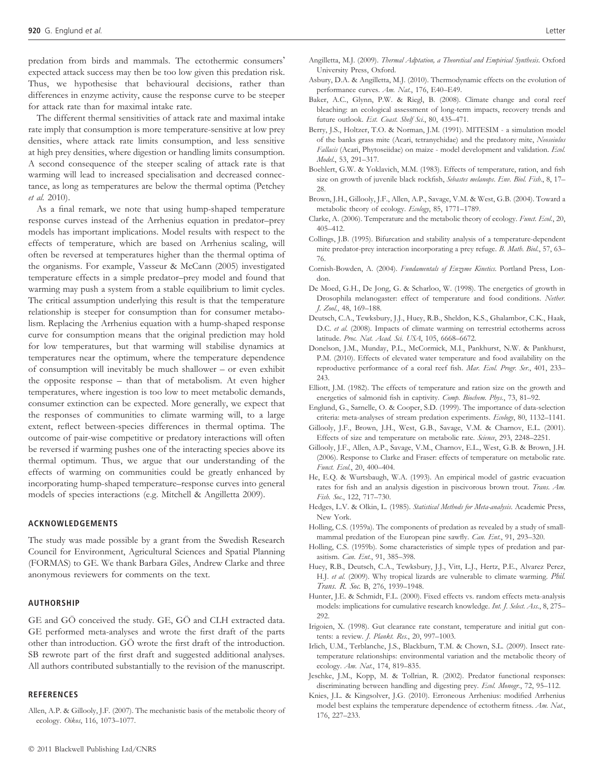predation from birds and mammals. The ectothermic consumers' expected attack success may then be too low given this predation risk. Thus, we hypothesise that behavioural decisions, rather than differences in enzyme activity, cause the response curve to be steeper for attack rate than for maximal intake rate.

The different thermal sensitivities of attack rate and maximal intake rate imply that consumption is more temperature-sensitive at low prey densities, where attack rate limits consumption, and less sensitive at high prey densities, where digestion or handling limits consumption. A second consequence of the steeper scaling of attack rate is that warming will lead to increased specialisation and decreased connectance, as long as temperatures are below the thermal optima (Petchey et al. 2010).

As a final remark, we note that using hump-shaped temperature response curves instead of the Arrhenius equation in predator–prey models has important implications. Model results with respect to the effects of temperature, which are based on Arrhenius scaling, will often be reversed at temperatures higher than the thermal optima of the organisms. For example, Vasseur & McCann (2005) investigated temperature effects in a simple predator–prey model and found that warming may push a system from a stable equilibrium to limit cycles. The critical assumption underlying this result is that the temperature relationship is steeper for consumption than for consumer metabolism. Replacing the Arrhenius equation with a hump-shaped response curve for consumption means that the original prediction may hold for low temperatures, but that warming will stabilise dynamics at temperatures near the optimum, where the temperature dependence of consumption will inevitably be much shallower – or even exhibit the opposite response – than that of metabolism. At even higher temperatures, where ingestion is too low to meet metabolic demands, consumer extinction can be expected. More generally, we expect that the responses of communities to climate warming will, to a large extent, reflect between-species differences in thermal optima. The outcome of pair-wise competitive or predatory interactions will often be reversed if warming pushes one of the interacting species above its thermal optimum. Thus, we argue that our understanding of the effects of warming on communities could be greatly enhanced by incorporating hump-shaped temperature–response curves into general models of species interactions (e.g. Mitchell & Angilletta 2009).

## ACKNOWLEDGEMENTS

The study was made possible by a grant from the Swedish Research Council for Environment, Agricultural Sciences and Spatial Planning (FORMAS) to GE. We thank Barbara Giles, Andrew Clarke and three anonymous reviewers for comments on the text.

#### AUTHORSHIP

GE and GÖ conceived the study. GE, GÖ and CLH extracted data. GE performed meta-analyses and wrote the first draft of the parts other than introduction. GO¨ wrote the first draft of the introduction. SB rewrote part of the first draft and suggested additional analyses. All authors contributed substantially to the revision of the manuscript.

## **REFERENCES**

Allen, A.P. & Gillooly, J.F. (2007). The mechanistic basis of the metabolic theory of ecology. Oikos, 116, 1073–1077.

- Angilletta, M.J. (2009). Thermal Adptation, a Theoretical and Empirical Synthesis. Oxford University Press, Oxford.
- Asbury, D.A. & Angilletta, M.J. (2010). Thermodynamic effects on the evolution of performance curves. Am. Nat., 176, E40-E49.
- Baker, A.C., Glynn, P.W. & Riegl, B. (2008). Climate change and coral reef bleaching: an ecological assessment of long-term impacts, recovery trends and future outlook. Est. Coast. Shelf Sci., 80, 435-471.
- Berry, J.S., Holtzer, T.O. & Norman, J.M. (1991). MITESIM a simulation model of the banks grass mite (Acari, tetranychidae) and the predatory mite, Neoseiulus Fallacis (Acari, Phytoseiidae) on maize - model development and validation. Ecol. Model., 53, 291–317.
- Boehlert, G.W. & Yoklavich, M.M. (1983). Effects of temperature, ration, and fish size on growth of juvenile black rockfish, Sebastes melanops. Env. Biol. Fish., 8, 17-28.
- Brown, J.H., Gillooly, J.F., Allen, A.P., Savage, V.M. & West, G.B. (2004). Toward a metabolic theory of ecology. Ecology, 85, 1771–1789.
- Clarke, A. (2006). Temperature and the metabolic theory of ecology. Funct. Ecol., 20, 405–412.
- Collings, J.B. (1995). Bifurcation and stability analysis of a temperature-dependent mite predator-prey interaction incorporating a prey refuge. B. Math. Biol., 57, 63– 76.
- Cornish-Bowden, A. (2004). Fundamentals of Enzyme Kinetics. Portland Press, London.
- De Moed, G.H., De Jong, G. & Scharloo, W. (1998). The energetics of growth in Drosophila melanogaster: effect of temperature and food conditions. Nether. J. Zool., 48, 169–188.
- Deutsch, C.A., Tewksbury, J.J., Huey, R.B., Sheldon, K.S., Ghalambor, C.K., Haak, D.C. et al. (2008). Impacts of climate warming on terrestrial ectotherms across latitude. Proc. Nat. Acad. Sci. USA, 105, 6668-6672.
- Donelson, J.M., Munday, P.L., McCormick, M.I., Pankhurst, N.W. & Pankhurst, P.M. (2010). Effects of elevated water temperature and food availability on the reproductive performance of a coral reef fish. Mar. Ecol. Progr. Ser., 401, 233– 243.
- Elliott, J.M. (1982). The effects of temperature and ration size on the growth and energetics of salmonid fish in captivity. Comp. Biochem. Phys., 73, 81–92.
- Englund, G., Sarnelle, O. & Cooper, S.D. (1999). The importance of data-selection criteria: meta-analyses of stream predation experiments. Ecology, 80, 1132–1141.
- Gillooly, J.F., Brown, J.H., West, G.B., Savage, V.M. & Charnov, E.L. (2001). Effects of size and temperature on metabolic rate. Science, 293, 2248-2251.
- Gillooly, J.F., Allen, A.P., Savage, V.M., Charnov, E.L., West, G.B. & Brown, J.H. (2006). Response to Clarke and Fraser: effects of temperature on metabolic rate. Funct. Ecol., 20, 400–404.
- He, E.Q. & Wurtsbaugh, W.A. (1993). An empirical model of gastric evacuation rates for fish and an analysis digestion in piscivorous brown trout. Trans. Am. Fish. Soc., 122, 717-730.
- Hedges, L.V. & Olkin, L. (1985). Statistical Methods for Meta-analysis. Academic Press, New York.
- Holling, C.S. (1959a). The components of predation as revealed by a study of smallmammal predation of the European pine sawfly. Can. Ent., 91, 293-320.
- Holling, C.S. (1959b). Some characteristics of simple types of predation and parasitism. Can. Ent., 91, 385–398.
- Huey, R.B., Deutsch, C.A., Tewksbury, J.J., Vitt, L.J., Hertz, P.E., Alvarez Perez, H.J. et al. (2009). Why tropical lizards are vulnerable to climate warming. Phil. Trans. R. Soc. B, 276, 1939–1948.
- Hunter, J.E. & Schmidt, F.L. (2000). Fixed effects vs. random effects meta-analysis models: implications for cumulative research knowledge. Int. J. Select. Ass., 8, 275-292.
- Irigoien, X. (1998). Gut clearance rate constant, temperature and initial gut contents: a review. J. Plankt. Res., 20, 997–1003.
- Irlich, U.M., Terblanche, J.S., Blackburn, T.M. & Chown, S.L. (2009). Insect ratetemperature relationships: environmental variation and the metabolic theory of ecology. Am. Nat., 174, 819–835.
- Jeschke, J.M., Kopp, M. & Tollrian, R. (2002). Predator functional responses: discriminating between handling and digesting prey. Ecol. Monogr., 72, 95–112.
- Knies, J.L. & Kingsolver, J.G. (2010). Erroneous Arrhenius: modified Arrhenius model best explains the temperature dependence of ectotherm fitness. Am. Nat., 176, 227–233.